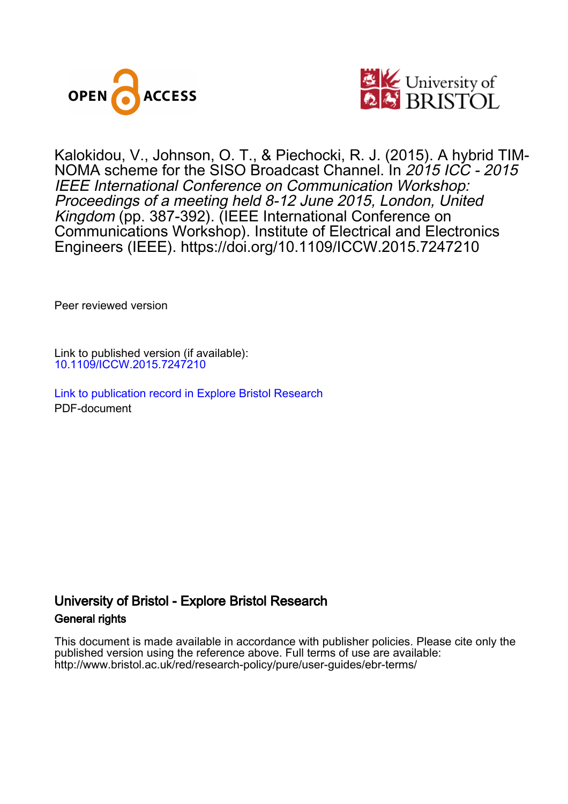



Kalokidou, V., Johnson, O. T., & Piechocki, R. J. (2015). A hybrid TIM-NOMA scheme for the SISO Broadcast Channel. In 2015 ICC - 2015 IEEE International Conference on Communication Workshop: Proceedings of a meeting held 8-12 June 2015, London, United Kingdom (pp. 387-392). (IEEE International Conference on Communications Workshop). Institute of Electrical and Electronics Engineers (IEEE).<https://doi.org/10.1109/ICCW.2015.7247210>

Peer reviewed version

Link to published version (if available): [10.1109/ICCW.2015.7247210](https://doi.org/10.1109/ICCW.2015.7247210)

[Link to publication record in Explore Bristol Research](https://research-information.bris.ac.uk/en/publications/9c6257d4-8c8a-4ae8-9ec2-25f54e9f5373) PDF-document

# University of Bristol - Explore Bristol Research General rights

This document is made available in accordance with publisher policies. Please cite only the published version using the reference above. Full terms of use are available: http://www.bristol.ac.uk/red/research-policy/pure/user-guides/ebr-terms/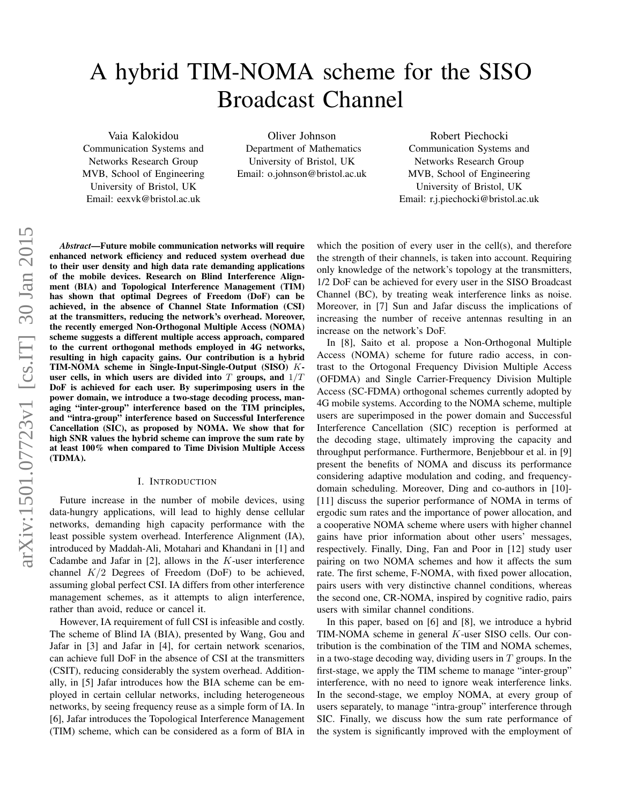# A hybrid TIM-NOMA scheme for the SISO Broadcast Channel

Vaia Kalokidou

Communication Systems and Networks Research Group MVB, School of Engineering University of Bristol, UK Email: eexvk@bristol.ac.uk

Oliver Johnson Department of Mathematics University of Bristol, UK Email: o.johnson@bristol.ac.uk

Robert Piechocki Communication Systems and Networks Research Group MVB, School of Engineering University of Bristol, UK Email: r.j.piechocki@bristol.ac.uk

*Abstract*—Future mobile communication networks will require enhanced network efficiency and reduced system overhead due to their user density and high data rate demanding applications of the mobile devices. Research on Blind Interference Alignment (BIA) and Topological Interference Management (TIM) has shown that optimal Degrees of Freedom (DoF) can be achieved, in the absence of Channel State Information (CSI) at the transmitters, reducing the network's overhead. Moreover, the recently emerged Non-Orthogonal Multiple Access (NOMA) scheme suggests a different multiple access approach, compared to the current orthogonal methods employed in 4G networks, resulting in high capacity gains. Our contribution is a hybrid TIM-NOMA scheme in Single-Input-Single-Output (SISO) Kuser cells, in which users are divided into  $T$  groups, and  $1/T$ DoF is achieved for each user. By superimposing users in the power domain, we introduce a two-stage decoding process, managing "inter-group" interference based on the TIM principles, and "intra-group" interference based on Successful Interference Cancellation (SIC), as proposed by NOMA. We show that for high SNR values the hybrid scheme can improve the sum rate by at least 100% when compared to Time Division Multiple Access (TDMA).

#### I. INTRODUCTION

Future increase in the number of mobile devices, using data-hungry applications, will lead to highly dense cellular networks, demanding high capacity performance with the least possible system overhead. Interference Alignment (IA), introduced by Maddah-Ali, Motahari and Khandani in [1] and Cadambe and Jafar in  $[2]$ , allows in the K-user interference channel  $K/2$  Degrees of Freedom (DoF) to be achieved, assuming global perfect CSI. IA differs from other interference management schemes, as it attempts to align interference, rather than avoid, reduce or cancel it.

However, IA requirement of full CSI is infeasible and costly. The scheme of Blind IA (BIA), presented by Wang, Gou and Jafar in [3] and Jafar in [4], for certain network scenarios, can achieve full DoF in the absence of CSI at the transmitters (CSIT), reducing considerably the system overhead. Additionally, in [5] Jafar introduces how the BIA scheme can be employed in certain cellular networks, including heterogeneous networks, by seeing frequency reuse as a simple form of IA. In [6], Jafar introduces the Topological Interference Management (TIM) scheme, which can be considered as a form of BIA in

which the position of every user in the cell(s), and therefore the strength of their channels, is taken into account. Requiring only knowledge of the network's topology at the transmitters, 1/2 DoF can be achieved for every user in the SISO Broadcast Channel (BC), by treating weak interference links as noise. Moreover, in [7] Sun and Jafar discuss the implications of increasing the number of receive antennas resulting in an increase on the network's DoF.

In [8], Saito et al. propose a Non-Orthogonal Multiple Access (NOMA) scheme for future radio access, in contrast to the Ortogonal Frequency Division Multiple Access (OFDMA) and Single Carrier-Frequency Division Multiple Access (SC-FDMA) orthogonal schemes currently adopted by 4G mobile systems. According to the NOMA scheme, multiple users are superimposed in the power domain and Successful Interference Cancellation (SIC) reception is performed at the decoding stage, ultimately improving the capacity and throughput performance. Furthermore, Benjebbour et al. in [9] present the benefits of NOMA and discuss its performance considering adaptive modulation and coding, and frequencydomain scheduling. Moreover, Ding and co-authors in [10]- [11] discuss the superior performance of NOMA in terms of ergodic sum rates and the importance of power allocation, and a cooperative NOMA scheme where users with higher channel gains have prior information about other users' messages, respectively. Finally, Ding, Fan and Poor in [12] study user pairing on two NOMA schemes and how it affects the sum rate. The first scheme, F-NOMA, with fixed power allocation, pairs users with very distinctive channel conditions, whereas the second one, CR-NOMA, inspired by cognitive radio, pairs users with similar channel conditions.

In this paper, based on [6] and [8], we introduce a hybrid TIM-NOMA scheme in general K-user SISO cells. Our contribution is the combination of the TIM and NOMA schemes, in a two-stage decoding way, dividing users in  $T$  groups. In the first-stage, we apply the TIM scheme to manage "inter-group" interference, with no need to ignore weak interference links. In the second-stage, we employ NOMA, at every group of users separately, to manage "intra-group" interference through SIC. Finally, we discuss how the sum rate performance of the system is significantly improved with the employment of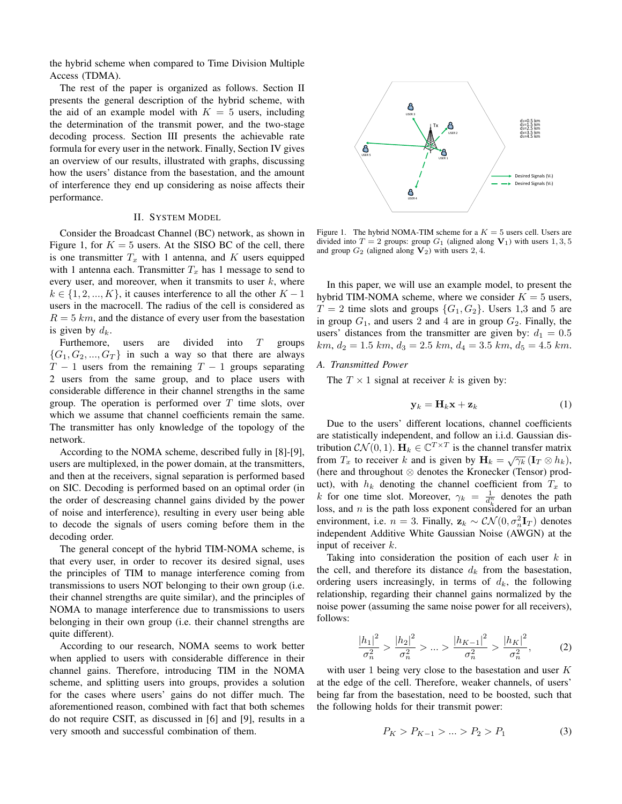the hybrid scheme when compared to Time Division Multiple Access (TDMA).

The rest of the paper is organized as follows. Section II presents the general description of the hybrid scheme, with the aid of an example model with  $K = 5$  users, including the determination of the transmit power, and the two-stage decoding process. Section III presents the achievable rate formula for every user in the network. Finally, Section IV gives an overview of our results, illustrated with graphs, discussing how the users' distance from the basestation, and the amount of interference they end up considering as noise affects their performance.

# II. SYSTEM MODEL

Consider the Broadcast Channel (BC) network, as shown in Figure 1, for  $K = 5$  users. At the SISO BC of the cell, there is one transmitter  $T_x$  with 1 antenna, and K users equipped with 1 antenna each. Transmitter  $T_x$  has 1 message to send to every user, and moreover, when it transmits to user  $k$ , where  $k \in \{1, 2, ..., K\}$ , it causes interference to all the other  $K - 1$ users in the macrocell. The radius of the cell is considered as  $R = 5 \, km$ , and the distance of every user from the basestation is given by  $d_k$ .

Furthemore, users are divided into T groups  ${G_1, G_2, ..., G_T}$  in such a way so that there are always  $T - 1$  users from the remaining  $T - 1$  groups separating 2 users from the same group, and to place users with considerable difference in their channel strengths in the same group. The operation is performed over  $T$  time slots, over which we assume that channel coefficients remain the same. The transmitter has only knowledge of the topology of the network.

According to the NOMA scheme, described fully in [8]-[9], users are multiplexed, in the power domain, at the transmitters, and then at the receivers, signal separation is performed based on SIC. Decoding is performed based on an optimal order (in the order of descreasing channel gains divided by the power of noise and interference), resulting in every user being able to decode the signals of users coming before them in the decoding order.

The general concept of the hybrid TIM-NOMA scheme, is that every user, in order to recover its desired signal, uses the principles of TIM to manage interference coming from transmissions to users NOT belonging to their own group (i.e. their channel strengths are quite similar), and the principles of NOMA to manage interference due to transmissions to users belonging in their own group (i.e. their channel strengths are quite different).

According to our research, NOMA seems to work better when applied to users with considerable difference in their channel gains. Therefore, introducing TIM in the NOMA scheme, and splitting users into groups, provides a solution for the cases where users' gains do not differ much. The aforementioned reason, combined with fact that both schemes do not require CSIT, as discussed in [6] and [9], results in a very smooth and successful combination of them.



Figure 1. The hybrid NOMA-TIM scheme for a  $K = 5$  users cell. Users are divided into  $T = 2$  groups: group  $G_1$  (aligned along  $V_1$ ) with users 1, 3, 5 and group  $G_2$  (aligned along  $V_2$ ) with users 2, 4.

In this paper, we will use an example model, to present the hybrid TIM-NOMA scheme, where we consider  $K = 5$  users,  $T = 2$  time slots and groups  $\{G_1, G_2\}$ . Users 1,3 and 5 are in group  $G_1$ , and users 2 and 4 are in group  $G_2$ . Finally, the users' distances from the transmitter are given by:  $d_1 = 0.5$  $km, d_2 = 1.5$  km,  $d_3 = 2.5$  km,  $d_4 = 3.5$  km,  $d_5 = 4.5$  km.

# *A. Transmitted Power*

The  $T \times 1$  signal at receiver k is given by:

$$
\mathbf{y}_k = \mathbf{H}_k \mathbf{x} + \mathbf{z}_k \tag{1}
$$

Due to the users' different locations, channel coefficients are statistically independent, and follow an i.i.d. Gaussian distribution  $CN(0, 1)$ .  $\mathbf{H}_k \in \mathbb{C}^{T \times T}$  is the channel transfer matrix from  $T_x$  to receiver k and is given by  $H_k = \sqrt{\gamma_k} (\mathbf{I}_T \otimes h_k)$ , (here and throughout ⊗ denotes the Kronecker (Tensor) product), with  $h_k$  denoting the channel coefficient from  $T_x$  to k for one time slot. Moreover,  $\gamma_k = \frac{1}{d_k^n}$  denotes the path loss, and n is the path loss exponent considered for an urban environment, i.e.  $n = 3$ . Finally,  $\mathbf{z}_k \sim \mathcal{CN}(0, \sigma_n^2 \mathbf{I}_T)$  denotes independent Additive White Gaussian Noise (AWGN) at the input of receiver k.

Taking into consideration the position of each user  $k$  in the cell, and therefore its distance  $d_k$  from the basestation, ordering users increasingly, in terms of  $d_k$ , the following relationship, regarding their channel gains normalized by the noise power (assuming the same noise power for all receivers), follows:

$$
\frac{|h_1|^2}{\sigma_n^2} > \frac{|h_2|^2}{\sigma_n^2} > \dots > \frac{|h_{K-1}|^2}{\sigma_n^2} > \frac{|h_K|^2}{\sigma_n^2},
$$
 (2)

with user 1 being very close to the basestation and user  $K$ at the edge of the cell. Therefore, weaker channels, of users' being far from the basestation, need to be boosted, such that the following holds for their transmit power:

$$
P_K > P_{K-1} > \dots > P_2 > P_1 \tag{3}
$$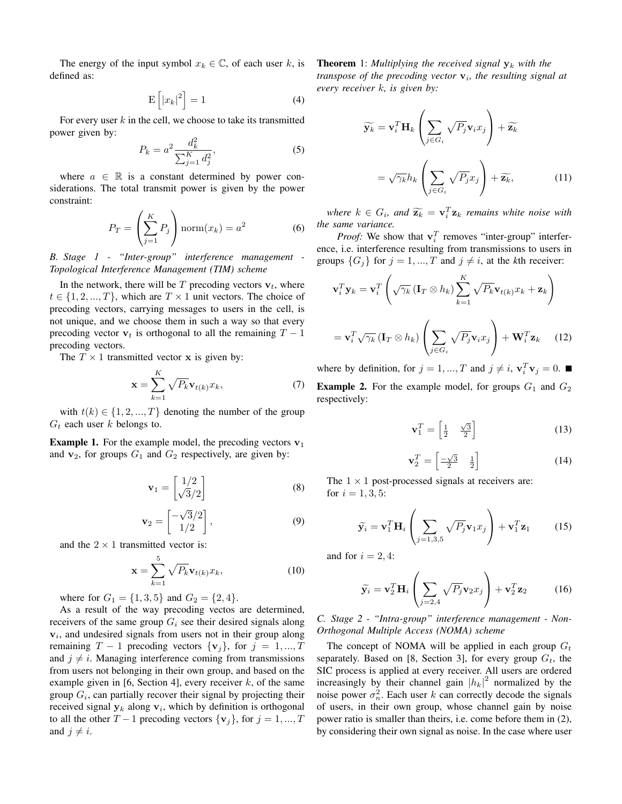The energy of the input symbol  $x_k \in \mathbb{C}$ , of each user k, is defined as:

$$
E\left[|x_k|^2\right] = 1\tag{4}
$$

For every user  $k$  in the cell, we choose to take its transmitted power given by:

$$
P_k = a^2 \frac{d_k^2}{\sum_{j=1}^K d_j^2},\tag{5}
$$

where  $a \in \mathbb{R}$  is a constant determined by power considerations. The total transmit power is given by the power constraint:

$$
P_T = \left(\sum_{j=1}^K P_j\right) \operatorname{norm}(x_k) = a^2 \tag{6}
$$

*B. Stage 1 - "Inter-group" interference management Topological Interference Management (TIM) scheme*

In the network, there will be  $T$  precoding vectors  $v_t$ , where  $t \in \{1, 2, ..., T\}$ , which are  $T \times 1$  unit vectors. The choice of precoding vectors, carrying messages to users in the cell, is not unique, and we choose them in such a way so that every precoding vector  $v_t$  is orthogonal to all the remaining  $T - 1$ precoding vectors.

The  $T \times 1$  transmitted vector **x** is given by:

$$
\mathbf{x} = \sum_{k=1}^{K} \sqrt{P_k} \mathbf{v}_{t(k)} x_k,
$$
 (7)

with  $t(k) \in \{1, 2, ..., T\}$  denoting the number of the group  $G_t$  each user k belongs to.

**Example 1.** For the example model, the precoding vectors  $v_1$ and  $v_2$ , for groups  $G_1$  and  $G_2$  respectively, are given by:

$$
\mathbf{v}_1 = \begin{bmatrix} 1/2 \\ \sqrt{3}/2 \end{bmatrix} \tag{8}
$$

$$
\mathbf{v}_2 = \begin{bmatrix} -\sqrt{3}/2 \\ 1/2 \end{bmatrix},\tag{9}
$$

and the  $2 \times 1$  transmitted vector is:

$$
\mathbf{x} = \sum_{k=1}^{5} \sqrt{P_k} \mathbf{v}_{t(k)} x_k,
$$
 (10)

where for  $G_1 = \{1, 3, 5\}$  and  $G_2 = \{2, 4\}.$ 

As a result of the way precoding vectos are determined, receivers of the same group  $G_i$  see their desired signals along  $v_i$ , and undesired signals from users not in their group along remaining  $T - 1$  precoding vectors  $\{v_j\}$ , for  $j = 1, ..., T$ and  $j \neq i$ . Managing interference coming from transmissions from users not belonging in their own group, and based on the example given in [6, Section 4], every receiver  $k$ , of the same group  $G_i$ , can partially recover their signal by projecting their received signal  $y_k$  along  $v_i$ , which by definition is orthogonal to all the other  $T-1$  precoding vectors  $\{v_j\}$ , for  $j = 1, ..., T$ and  $j \neq i$ .

**Theorem** 1: *Multiplying the received signal*  $y_k$  *with the transpose of the precoding vector*  $v_i$ , the resulting signal at *every receiver* k*, is given by:*

$$
\widetilde{\mathbf{y}_k} = \mathbf{v}_i^T \mathbf{H}_k \left( \sum_{j \in G_i} \sqrt{P_j} \mathbf{v}_i x_j \right) + \widetilde{\mathbf{z}_k}
$$
\n
$$
= \sqrt{\gamma_k} h_k \left( \sum_{j \in G_i} \sqrt{P_j} x_j \right) + \widetilde{\mathbf{z}_k}, \tag{11}
$$

*where*  $k \in G_i$ , and  $\widetilde{\mathbf{z}_k} = \mathbf{v}_i^T \mathbf{z}_k$  *remains white noise with the same variance.*

*Proof:* We show that  $\mathbf{v}_i^T$  removes "inter-group" interference, i.e. interference resulting from transmissions to users in groups  $\{G_j\}$  for  $j = 1, ..., T$  and  $j \neq i$ , at the *k*th receiver:

$$
\mathbf{v}_i^T \mathbf{y}_k = \mathbf{v}_i^T \left( \sqrt{\gamma_k} \left( \mathbf{I}_T \otimes h_k \right) \sum_{k=1}^K \sqrt{P_k} \mathbf{v}_{t(k)} x_k + \mathbf{z}_k \right)
$$

$$
= \mathbf{v}_i^T \sqrt{\gamma_k} \left( \mathbf{I}_T \otimes h_k \right) \left( \sum_{j \in G_i} \sqrt{P_j} \mathbf{v}_i x_j \right) + \mathbf{W}_i^T \mathbf{z}_k \qquad (12)
$$

where by definition, for  $j = 1, ..., T$  and  $j \neq i$ ,  $\mathbf{v}_i^T \mathbf{v}_j = 0$ . **Example 2.** For the example model, for groups  $G_1$  and  $G_2$ respectively:

$$
\mathbf{v}_1^T = \begin{bmatrix} \frac{1}{2} & \frac{\sqrt{3}}{2} \end{bmatrix} \tag{13}
$$

$$
\mathbf{v}_2^T = \begin{bmatrix} -\sqrt{3} & \frac{1}{2} \end{bmatrix} \tag{14}
$$

The  $1 \times 1$  post-processed signals at receivers are: for  $i = 1, 3, 5$ :

$$
\widetilde{\mathbf{y}}_i = \mathbf{v}_1^T \mathbf{H}_i \left( \sum_{j=1,3,5} \sqrt{P_j} \mathbf{v}_1 x_j \right) + \mathbf{v}_1^T \mathbf{z}_1 \tag{15}
$$

and for  $i = 2, 4$ :

$$
\widetilde{\mathbf{y}}_i = \mathbf{v}_2^T \mathbf{H}_i \left( \sum_{j=2,4} \sqrt{P_j} \mathbf{v}_2 x_j \right) + \mathbf{v}_2^T \mathbf{z}_2 \quad (16)
$$

*C. Stage 2 - "Intra-group" interference management - Non-Orthogonal Multiple Access (NOMA) scheme*

The concept of NOMA will be applied in each group  $G_t$ separately. Based on [8, Section 3], for every group  $G_t$ , the SIC process is applied at every receiver. All users are ordered increasingly by their channel gain  $|h_k|^2$  normalized by the noise power  $\sigma_n^2$ . Each user k can correctly decode the signals of users, in their own group, whose channel gain by noise power ratio is smaller than theirs, i.e. come before them in (2), by considering their own signal as noise. In the case where user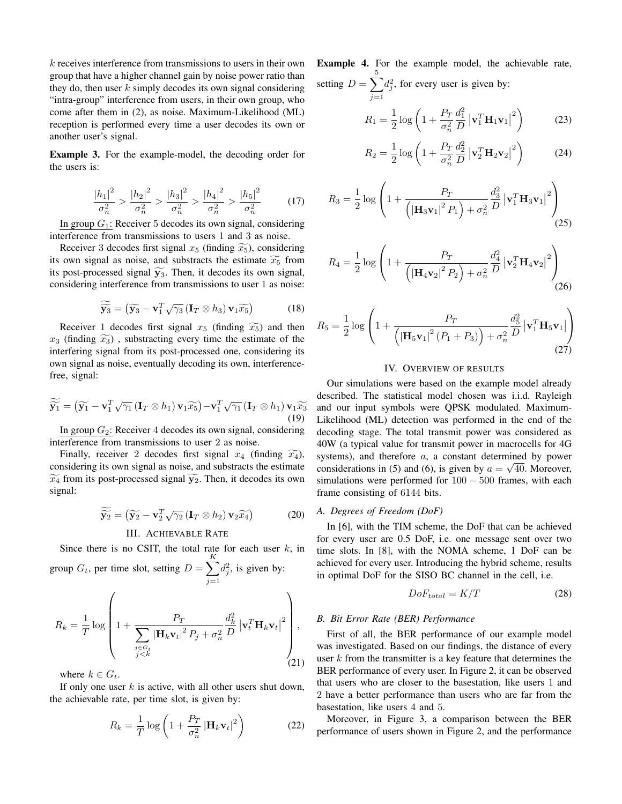k receives interference from transmissions to users in their own group that have a higher channel gain by noise power ratio than they do, then user  $k$  simply decodes its own signal considering "intra-group" interference from users, in their own group, who come after them in (2), as noise. Maximum-Likelihood (ML) reception is performed every time a user decodes its own or another user's signal.

Example 3. For the example-model, the decoding order for the users is:

$$
\frac{|h_1|^2}{\sigma_n^2} > \frac{|h_2|^2}{\sigma_n^2} > \frac{|h_3|^2}{\sigma_n^2} > \frac{|h_4|^2}{\sigma_n^2} > \frac{|h_5|^2}{\sigma_n^2} \tag{17}
$$

In group  $G_1$ : Receiver 5 decodes its own signal, considering interference from transmissions to users 1 and 3 as noise.

Receiver 3 decodes first signal  $x_5$  (finding  $\widetilde{x_5}$ ), considering its own signal as noise, and substracts the estimate  $\widetilde{x_5}$  from its post-processed signal  $\widetilde{y_3}$ . Then, it decodes its own signal, considering interference from transmissions to user 1 as noise:

$$
\widetilde{\widetilde{\mathbf{y}}_3} = (\widetilde{\mathbf{y}}_3 - \mathbf{v}_1^T \sqrt{\gamma_3} (\mathbf{I}_T \otimes h_3) \mathbf{v}_1 \widetilde{x_5}) \tag{18}
$$

Receiver 1 decodes first signal  $x_5$  (finding  $\widetilde{x_5}$ ) and then  $x_3$  (finding  $\widetilde{x_3}$ ), substracting every time the estimate of the interfering signal from its post-processed one, considering its own signal as noise, eventually decoding its own, interferencefree, signal:

$$
\widetilde{\widetilde{\mathbf{y}_1}} = (\widetilde{\mathbf{y}_1} - \mathbf{v}_1^T \sqrt{\gamma_1} (\mathbf{I}_T \otimes h_1) \mathbf{v}_1 \widetilde{x_5}) - \mathbf{v}_1^T \sqrt{\gamma_1} (\mathbf{I}_T \otimes h_1) \mathbf{v}_1 \widetilde{x_3}
$$
\n(19)

In group  $G_2$ : Receiver 4 decodes its own signal, considering interference from transmissions to user 2 as noise.

Finally, receiver 2 decodes first signal  $x_4$  (finding  $\widetilde{x_4}$ ), considering its own signal as noise, and substracts the estimate  $\widetilde{x_4}$  from its post-processed signal  $\widetilde{y_2}$ . Then, it decodes its own signal:

$$
\widetilde{\widetilde{\mathbf{y}}_2} = (\widetilde{\mathbf{y}}_2 - \mathbf{v}_2^T \sqrt{\gamma_2} (\mathbf{I}_T \otimes h_2) \mathbf{v}_2 \widetilde{x_4})
$$
(20)

# III. ACHIEVABLE RATE

Since there is no CSIT, the total rate for each user  $k$ , in group  $G_t$ , per time slot, setting  $D = \sum_{k=1}^{K}$  $j=1$  $d_j^2$ , is given by:

$$
R_k = \frac{1}{T} \log \left( 1 + \frac{P_T}{\sum_{\substack{j \in G_t \\ j < k}} |\mathbf{H}_k \mathbf{v}_t|^2 P_j + \sigma_n^2} \frac{d_k^2}{D} \left| \mathbf{v}_t^T \mathbf{H}_k \mathbf{v}_t \right|^2 \right),\tag{21}
$$

where  $k \in G_t$ .

If only one user  $k$  is active, with all other users shut down, the achievable rate, per time slot, is given by:

$$
R_k = \frac{1}{T} \log \left( 1 + \frac{P_T}{\sigma_n^2} \left| \mathbf{H}_k \mathbf{v}_t \right|^2 \right) \tag{22}
$$

Example 4. For the example model, the achievable rate, setting  $D = \sum$ 5  $d_j^2$ , for every user is given by:

 $j=1$ 

$$
R_1 = \frac{1}{2} \log \left( 1 + \frac{P_T}{\sigma_n^2} \frac{d_1^2}{D} \left| \mathbf{v}_1^T \mathbf{H}_1 \mathbf{v}_1 \right|^2 \right) \tag{23}
$$

$$
R_2 = \frac{1}{2} \log \left( 1 + \frac{P_T}{\sigma_n^2} \frac{d_2^2}{D} \left| \mathbf{v}_2^T \mathbf{H}_2 \mathbf{v}_2 \right|^2 \right) \tag{24}
$$

$$
R_3 = \frac{1}{2} \log \left( 1 + \frac{P_T}{\left( \left| \mathbf{H}_3 \mathbf{v}_1 \right|^2 P_1 \right) + \sigma_n^2} \frac{d_3^2}{D} \left| \mathbf{v}_1^T \mathbf{H}_3 \mathbf{v}_1 \right|^2 \right) \tag{25}
$$

$$
R_4 = \frac{1}{2} \log \left( 1 + \frac{P_T}{\left( \left| \mathbf{H}_4 \mathbf{v}_2 \right|^2 P_2 \right) + \sigma_n^2} \frac{d_4^2}{D} \left| \mathbf{v}_2^T \mathbf{H}_4 \mathbf{v}_2 \right|^2 \right) \tag{26}
$$

$$
R_{5} = \frac{1}{2} \log \left( 1 + \frac{P_{T}}{\left( \left| \mathbf{H}_{5} \mathbf{v}_{1} \right|^{2} \left( P_{1} + P_{3} \right) \right) + \sigma_{n}^{2}} \frac{d_{5}^{2}}{D} \left| \mathbf{v}_{1}^{T} \mathbf{H}_{5} \mathbf{v}_{1} \right| \right)
$$
(27)

# IV. OVERVIEW OF RESULTS

Our simulations were based on the example model already described. The statistical model chosen was i.i.d. Rayleigh and our input symbols were QPSK modulated. Maximum-Likelihood (ML) detection was performed in the end of the decoding stage. The total transmit power was considered as 40W (a typical value for transmit power in macrocells for 4G systems), and therefore  $a$ , a constant determined by power considerations in (5) and (6), is given by  $a = \sqrt{40}$ . Moreover, simulations were performed for 100 − 500 frames, with each frame consisting of 6144 bits.

#### *A. Degrees of Freedom (DoF)*

In [6], with the TIM scheme, the DoF that can be achieved for every user are 0.5 DoF, i.e. one message sent over two time slots. In [8], with the NOMA scheme, 1 DoF can be achieved for every user. Introducing the hybrid scheme, results in optimal DoF for the SISO BC channel in the cell, i.e.

$$
DoF_{total} = K/T \tag{28}
$$

## *B. Bit Error Rate (BER) Performance*

First of all, the BER performance of our example model was investigated. Based on our findings, the distance of every user  $k$  from the transmitter is a key feature that determines the BER performance of every user. In Figure 2, it can be observed that users who are closer to the basestation, like users 1 and 2 have a better performance than users who are far from the basestation, like users 4 and 5.

Moreover, in Figure 3, a comparison between the BER performance of users shown in Figure 2, and the performance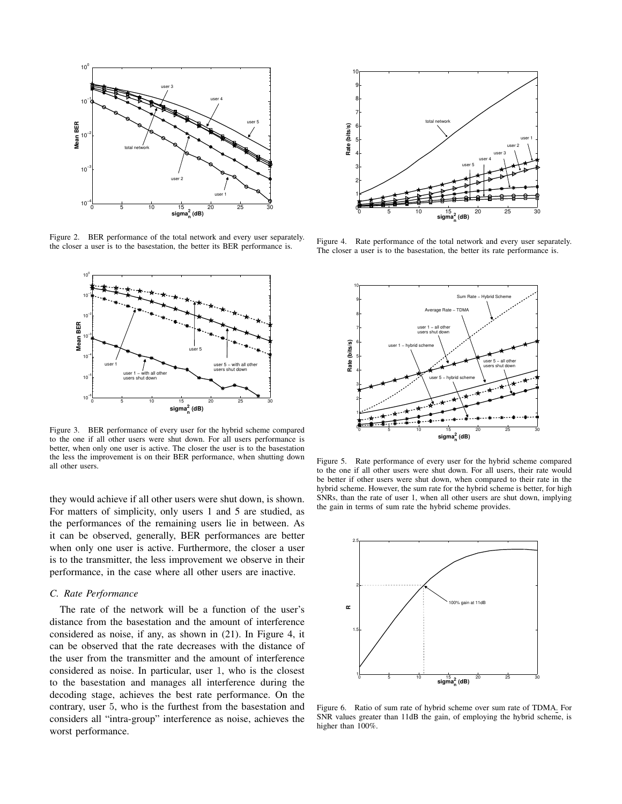

Figure 2. BER performance of the total network and every user separately. the closer a user is to the basestation, the better its BER performance is.



Figure 3. BER performance of every user for the hybrid scheme compared to the one if all other users were shut down. For all users performance is better, when only one user is active. The closer the user is to the basestation the less the improvement is on their BER performance, when shutting down all other users.

they would achieve if all other users were shut down, is shown. For matters of simplicity, only users 1 and 5 are studied, as the performances of the remaining users lie in between. As it can be observed, generally, BER performances are better when only one user is active. Furthermore, the closer a user is to the transmitter, the less improvement we observe in their performance, in the case where all other users are inactive.

## *C. Rate Performance*

The rate of the network will be a function of the user's distance from the basestation and the amount of interference considered as noise, if any, as shown in (21). In Figure 4, it can be observed that the rate decreases with the distance of the user from the transmitter and the amount of interference considered as noise. In particular, user 1, who is the closest to the basestation and manages all interference during the decoding stage, achieves the best rate performance. On the contrary, user 5, who is the furthest from the basestation and considers all "intra-group" interference as noise, achieves the



Figure 4. Rate performance of the total network and every user separately. The closer a user is to the basestation, the better its rate performance is.



Figure 5. Rate performance of every user for the hybrid scheme compared to the one if all other users were shut down. For all users, their rate would be better if other users were shut down, when compared to their rate in the hybrid scheme. However, the sum rate for the hybrid scheme is better, for high SNRs, than the rate of user 1, when all other users are shut down, implying the gain in terms of sum rate the hybrid scheme provides.



Figure 6. Ratio of sum rate of hybrid scheme over sum rate of TDMA. For SNR values greater than 11dB the gain, of employing the hybrid scheme, is higher than 100%.